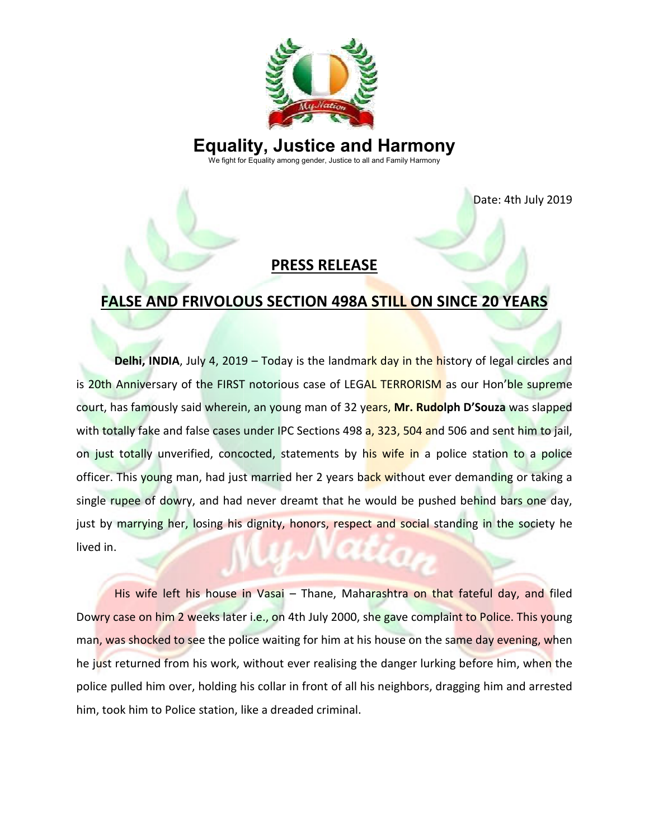

# **Equality, Justice and Harmony**

We fight for Equality among gender, Justice to all and Family Harmony

Date: 4th July 2019

### **PRESS RELEASE**

## **FALSE AND FRIVOLOUS SECTION 498A STILL ON SINCE 20 20 YEARS**

**Delhi, INDIA**, July 4, 2019 – Today is the landma<mark>rk day in the h</mark>istory of legal circles and is 20th Anniversary of the FIRST notorious case of LEGAL TERRORISM as our Hon'ble supreme<br>court, has famously said wherein, an young man of 32 years, Mr. Rudolph D'Souza was slapped court, has famously said wherein, an young man of 32 years, Mr. Rudolph D'Souza was slapped with totally fake and false cases under IPC Sections 498 a, 323, 504 and 506 and sent him to jail, with totally fake and false cases under IPC Sections 498 <mark>a, 323, 504 an</mark>d 506 and sent him to jail,<br>on just totally unverified, concocted, statements by his wife in a police station to a police officer. This young man, had just married her 2 years back without ever demanding or taking a single rupee of dowry, and had never dreamt that he would be pushed behind bars one day, officer. This young man, had just married her 2 years ba<mark>ck wit</mark>hout ever demanding or taking a<br>single rupee of dowry, and had never dreamt that he would be pushed behind bars one day,<br>just by marrying her, losing his dign lived in. Date: 4th July 2019<br>
Date: 4th July 2019<br>
Date: 4th July 2019<br>
DRESS RELEASE<br>
NV 4, 2019 – Today is the landmark day in the history of legal circles and<br>
the FIRST notorious case of LEGAL TERRORISM as our Hon'ble supreme<br>

His wife left his house in Vasai - Thane, Maharashtra on that fateful day, and filed Dowry case on him 2 weeks later i.e., on 4th July 2000, she gave complaint to Police. This young<br>man, was shocked to see the police waiting for him at his house on the same day evening, when<br>he just returned from his work, man, was shocked to see the police waiting for him at his house on the same day evening, when he just returned from his work, without ever realising the danger lurking before him, when the he j<mark>u</mark>st returned from his work, without ever realising the danger lurking before him, when the<br>police pulled him over, holding his collar in front of all his neighbors, dragging him and arrested him, took him to Police station, like a dreaded criminal.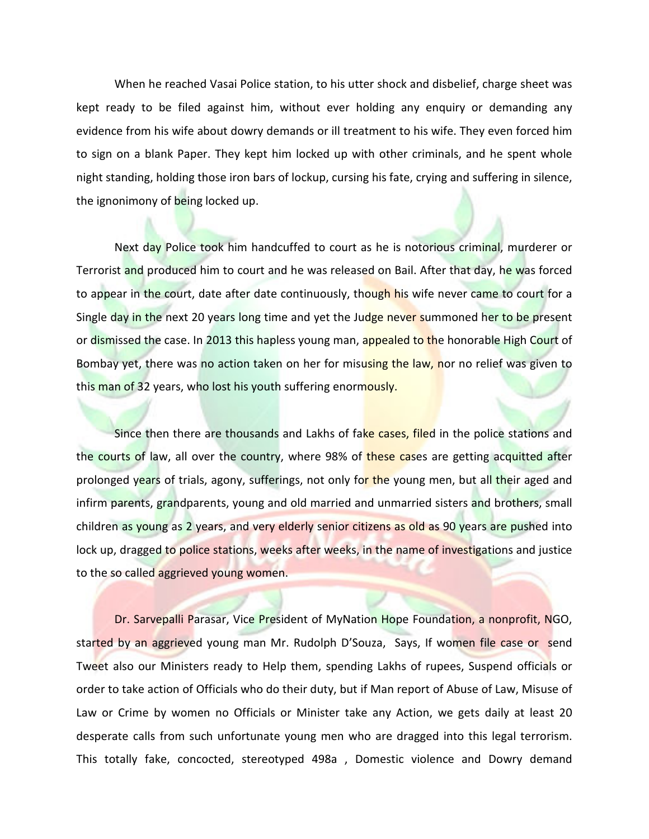When he reached Vasai Police station, to his utter shock and disbelief, charge sheet was kept ready to be filed against him, without ever holding any enquiry or demanding any evidence from his wife about dowry demands or ill treatment to his wife. They even forced him to sign on a blank Paper. They kept him locked up with other criminals, and he spent whole night standing, holding those iron bars of lockup, cursing his fate, crying and suffering in silence, the ignonimony of being locked up.

Next day Police took him handcuffed to court as he is notorious criminal, murderer or Terrorist and produced him to court and he was released on Bail. After that day, he was forced to appear in the court, date after date continuously, though his wife never came to court for a Single day in the next 20 years long time and yet the Judge never summoned her to be present or dismissed the case. In 2013 this hapless young man, appealed to the honorable High Court of Bombay yet, there was no action taken on her for misusing the law, nor no relief was given to this man of 32 years, who lost his youth suffering enormously.

Since then there are thousands and Lakhs of fake cases, filed in the police stations and the courts of law, all over the country, where 98% of these cases are getting acquitted after prolonged years of trials, agony, sufferings, not only for the young men, but all their aged and infirm parents, grandparents, young and old married and unmarried sisters and brothers, small children as young as 2 years, and very elderly senior citizens as old as 90 years are pushed into lock up, dragged to police stations, weeks after weeks, in the name of investigations and justice to the so called aggrieved young women.

Dr. Sarvepalli Parasar, Vice President of MyNation Hope Foundation, a nonprofit, NGO, started by an aggrieved young man Mr. Rudolph D'Souza, Says, If women file case or send Tweet also our Ministers ready to Help them, spending Lakhs of rupees, Suspend officials or order to take action of Officials who do their duty, but if Man report of Abuse of Law, Misuse of Law or Crime by women no Officials or Minister take any Action, we gets daily at least 20 desperate calls from such unfortunate young men who are dragged into this legal terrorism. This totally fake, concocted, stereotyped 498a , Domestic violence and Dowry demand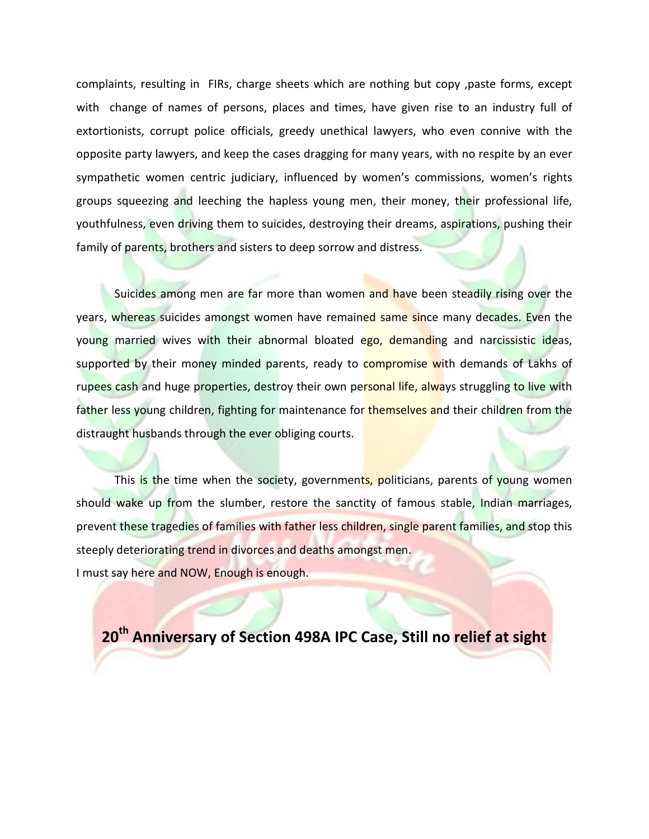complaints, resulting in FIRs, charge sheets which are nothing but copy ,paste forms, except with change of names of persons, places and times, have given rise to an industry full of extortionists, corrupt police officials, greedy unethical lawyers, who even connive with the opposite party lawyers, and keep the cases dragging for many years, with no respite by an ever sympathetic women centric judiciary, influenced by women's commissions, women's rights groups squeezing and leeching the hapless young men, their money, their professional life, youthfulness, even driving them to suicides, destroying their dreams, aspirations, pushing their family of parents, brothers and sisters to deep sorrow and distress.

Suicides among men are far more than women and have been steadily rising over the years, whereas suicides amongst women have remained same since many decades. Even the young married wives with their abnormal bloated ego, demanding and narcissistic ideas, supported by their money minded parents, ready to compromise with demands of Lakhs of rupees cash and huge properties, destroy their own personal life, always struggling to live with father less young children, fighting for maintenance for themselves and their children from the distraught husbands through the ever obliging courts.

This is the time when the society, governments, politicians, parents of young women should wake up from the slumber, restore the sanctity of famous stable, Indian marriages, prevent these tragedies of families with father less children, single parent families, and stop this steeply deteriorating trend in divorces and deaths amongst men. I must say here and NOW, Enough is enough.

**20th Anniversary of Section 498A IPC Case, Still no relief at sight**